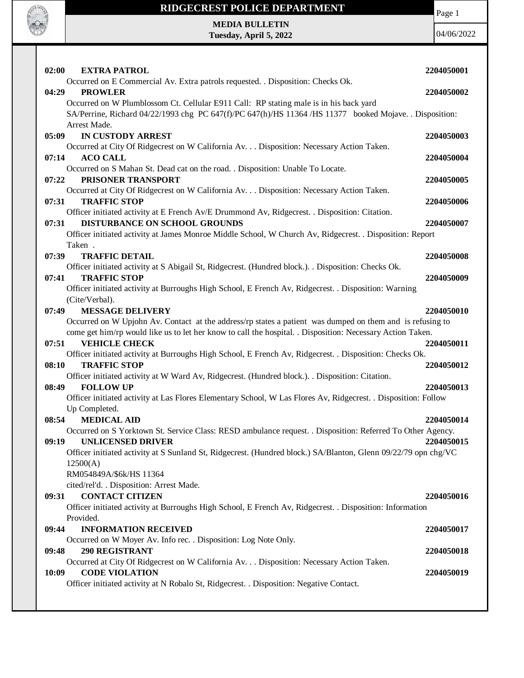

#### **RIDGECREST POLICE DEPARTMENT**

**MEDIA BULLETIN Tuesday, April 5, 2022** Page 1

| 02:00<br><b>EXTRA PATROL</b>                                                                                               | 2204050001 |
|----------------------------------------------------------------------------------------------------------------------------|------------|
| Occurred on E Commercial Av. Extra patrols requested. . Disposition: Checks Ok.                                            |            |
| <b>PROWLER</b><br>04:29                                                                                                    | 2204050002 |
| Occurred on W Plumblossom Ct. Cellular E911 Call: RP stating male is in his back yard                                      |            |
| SA/Perrine, Richard 04/22/1993 chg PC 647(f)/PC 647(h)/HS 11364 /HS 11377 booked Mojave. . Disposition:                    |            |
| Arrest Made.                                                                                                               |            |
| <b>IN CUSTODY ARREST</b><br>05:09                                                                                          | 2204050003 |
| Occurred at City Of Ridgecrest on W California Av. Disposition: Necessary Action Taken.<br>07:14<br><b>ACO CALL</b>        | 2204050004 |
| Occurred on S Mahan St. Dead cat on the road. . Disposition: Unable To Locate.                                             |            |
| PRISONER TRANSPORT<br>07:22                                                                                                | 2204050005 |
| Occurred at City Of Ridgecrest on W California Av. Disposition: Necessary Action Taken.                                    |            |
| 07:31<br><b>TRAFFIC STOP</b>                                                                                               | 2204050006 |
| Officer initiated activity at E French Av/E Drummond Av, Ridgecrest. . Disposition: Citation.                              |            |
| <b>DISTURBANCE ON SCHOOL GROUNDS</b><br>07:31                                                                              | 2204050007 |
| Officer initiated activity at James Monroe Middle School, W Church Av, Ridgecrest. . Disposition: Report                   |            |
| Taken.                                                                                                                     |            |
| 07:39<br><b>TRAFFIC DETAIL</b>                                                                                             | 2204050008 |
| Officer initiated activity at S Abigail St, Ridgecrest. (Hundred block.). . Disposition: Checks Ok.<br><b>TRAFFIC STOP</b> |            |
| 07:41<br>Officer initiated activity at Burroughs High School, E French Av, Ridgecrest. . Disposition: Warning              | 2204050009 |
| (Cite/Verbal).                                                                                                             |            |
| <b>MESSAGE DELIVERY</b><br>07:49                                                                                           | 2204050010 |
| Occurred on W Upjohn Av. Contact at the address/rp states a patient was dumped on them and is refusing to                  |            |
| come get him/rp would like us to let her know to call the hospital. . Disposition: Necessary Action Taken.                 |            |
| <b>VEHICLE CHECK</b><br>07:51                                                                                              | 2204050011 |
| Officer initiated activity at Burroughs High School, E French Av, Ridgecrest. . Disposition: Checks Ok.                    |            |
| <b>TRAFFIC STOP</b><br>08:10                                                                                               | 2204050012 |
| Officer initiated activity at W Ward Av, Ridgecrest. (Hundred block.). . Disposition: Citation.                            |            |
| <b>FOLLOW UP</b><br>08:49                                                                                                  | 2204050013 |
| Officer initiated activity at Las Flores Elementary School, W Las Flores Av, Ridgecrest. . Disposition: Follow             |            |
| Up Completed.<br><b>MEDICAL AID</b><br>08:54                                                                               | 2204050014 |
| Occurred on S Yorktown St. Service Class: RESD ambulance request. . Disposition: Referred To Other Agency.                 |            |
| 09:19<br>UNLICENSED DRIVER                                                                                                 | 2204050015 |
| Officer initiated activity at S Sunland St, Ridgecrest. (Hundred block.) SA/Blanton, Glenn 09/22/79 opn chg/VC             |            |
| 12500(A)                                                                                                                   |            |
| RM054849A/\$6k/HS 11364                                                                                                    |            |
| cited/rel'd. . Disposition: Arrest Made.                                                                                   |            |
| <b>CONTACT CITIZEN</b><br>09:31                                                                                            | 2204050016 |
| Officer initiated activity at Burroughs High School, E French Av, Ridgecrest. . Disposition: Information                   |            |
| Provided.                                                                                                                  |            |
| <b>INFORMATION RECEIVED</b><br>09:44                                                                                       | 2204050017 |
| Occurred on W Moyer Av. Info rec. . Disposition: Log Note Only.<br><b>290 REGISTRANT</b>                                   |            |
| 09:48<br>Occurred at City Of Ridgecrest on W California Av. Disposition: Necessary Action Taken.                           | 2204050018 |
| <b>CODE VIOLATION</b><br>10:09                                                                                             | 2204050019 |
| Officer initiated activity at N Robalo St, Ridgecrest. . Disposition: Negative Contact.                                    |            |
|                                                                                                                            |            |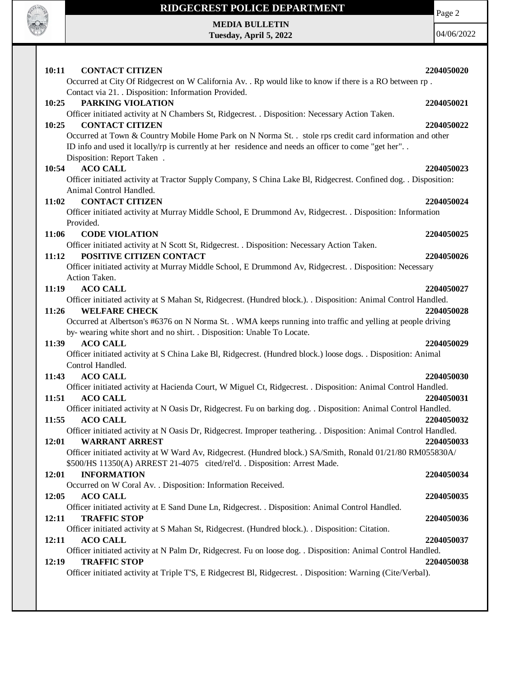

# **RIDGECREST POLICE DEPARTMENT MEDIA BULLETIN**

**Tuesday, April 5, 2022**

Page 2

| 10:11<br><b>CONTACT CITIZEN</b>                                                                                                                                                                                                                | 2204050020 |
|------------------------------------------------------------------------------------------------------------------------------------------------------------------------------------------------------------------------------------------------|------------|
| Occurred at City Of Ridgecrest on W California Av. . Rp would like to know if there is a RO between rp.<br>Contact via 21. . Disposition: Information Provided.                                                                                |            |
| PARKING VIOLATION<br>10:25                                                                                                                                                                                                                     | 2204050021 |
| Officer initiated activity at N Chambers St, Ridgecrest. . Disposition: Necessary Action Taken.                                                                                                                                                |            |
| <b>CONTACT CITIZEN</b><br>10:25                                                                                                                                                                                                                | 2204050022 |
| Occurred at Town & Country Mobile Home Park on N Norma St. . stole rps credit card information and other<br>ID info and used it locally/rp is currently at her residence and needs an officer to come "get her".<br>Disposition: Report Taken. |            |
| 10:54<br><b>ACO CALL</b>                                                                                                                                                                                                                       | 2204050023 |
| Officer initiated activity at Tractor Supply Company, S China Lake Bl, Ridgecrest. Confined dog. . Disposition:<br>Animal Control Handled.                                                                                                     |            |
| <b>CONTACT CITIZEN</b><br>11:02                                                                                                                                                                                                                | 2204050024 |
| Officer initiated activity at Murray Middle School, E Drummond Av, Ridgecrest. . Disposition: Information                                                                                                                                      |            |
| Provided.                                                                                                                                                                                                                                      |            |
| <b>CODE VIOLATION</b><br>11:06                                                                                                                                                                                                                 | 2204050025 |
| Officer initiated activity at N Scott St, Ridgecrest. . Disposition: Necessary Action Taken.                                                                                                                                                   |            |
| POSITIVE CITIZEN CONTACT<br>11:12                                                                                                                                                                                                              | 2204050026 |
| Officer initiated activity at Murray Middle School, E Drummond Av, Ridgecrest. . Disposition: Necessary                                                                                                                                        |            |
| Action Taken.                                                                                                                                                                                                                                  |            |
| 11:19<br><b>ACO CALL</b>                                                                                                                                                                                                                       | 2204050027 |
| Officer initiated activity at S Mahan St, Ridgecrest. (Hundred block.). . Disposition: Animal Control Handled.                                                                                                                                 |            |
| 11:26<br><b>WELFARE CHECK</b>                                                                                                                                                                                                                  | 2204050028 |
| Occurred at Albertson's #6376 on N Norma St. . WMA keeps running into traffic and yelling at people driving<br>by-wearing white short and no shirt. . Disposition: Unable To Locate.                                                           |            |
| <b>ACO CALL</b><br>11:39                                                                                                                                                                                                                       | 2204050029 |
| Officer initiated activity at S China Lake Bl, Ridgecrest. (Hundred block.) loose dogs. . Disposition: Animal                                                                                                                                  |            |
| Control Handled.                                                                                                                                                                                                                               |            |
| <b>ACO CALL</b><br>11:43                                                                                                                                                                                                                       | 2204050030 |
| Officer initiated activity at Hacienda Court, W Miguel Ct, Ridgecrest. . Disposition: Animal Control Handled.<br>11:51<br><b>ACO CALL</b>                                                                                                      | 2204050031 |
| Officer initiated activity at N Oasis Dr, Ridgecrest. Fu on barking dog. . Disposition: Animal Control Handled.                                                                                                                                |            |
| 11:55<br><b>ACO CALL</b>                                                                                                                                                                                                                       | 2204050032 |
| Officer initiated activity at N Oasis Dr, Ridgecrest. Improper teathering. . Disposition: Animal Control Handled.<br>12:01<br><b>WARRANT ARREST</b>                                                                                            | 2204050033 |
| Officer initiated activity at W Ward Av, Ridgecrest. (Hundred block.) SA/Smith, Ronald 01/21/80 RM055830A/<br>\$500/HS 11350(A) ARREST 21-4075 cited/rel'd. . Disposition: Arrest Made.                                                        |            |
| <b>INFORMATION</b><br>12:01                                                                                                                                                                                                                    | 2204050034 |
| Occurred on W Coral Av. . Disposition: Information Received.                                                                                                                                                                                   |            |
| 12:05<br><b>ACO CALL</b>                                                                                                                                                                                                                       | 2204050035 |
| Officer initiated activity at E Sand Dune Ln, Ridgecrest. . Disposition: Animal Control Handled.                                                                                                                                               |            |
| <b>TRAFFIC STOP</b><br>12:11                                                                                                                                                                                                                   | 2204050036 |
| Officer initiated activity at S Mahan St, Ridgecrest. (Hundred block.). . Disposition: Citation.                                                                                                                                               |            |
| 12:11<br><b>ACO CALL</b>                                                                                                                                                                                                                       | 2204050037 |
| Officer initiated activity at N Palm Dr, Ridgecrest. Fu on loose dog. . Disposition: Animal Control Handled.                                                                                                                                   |            |
| 12:19<br><b>TRAFFIC STOP</b>                                                                                                                                                                                                                   | 2204050038 |
| Officer initiated activity at Triple T'S, E Ridgecrest Bl, Ridgecrest. . Disposition: Warning (Cite/Verbal).                                                                                                                                   |            |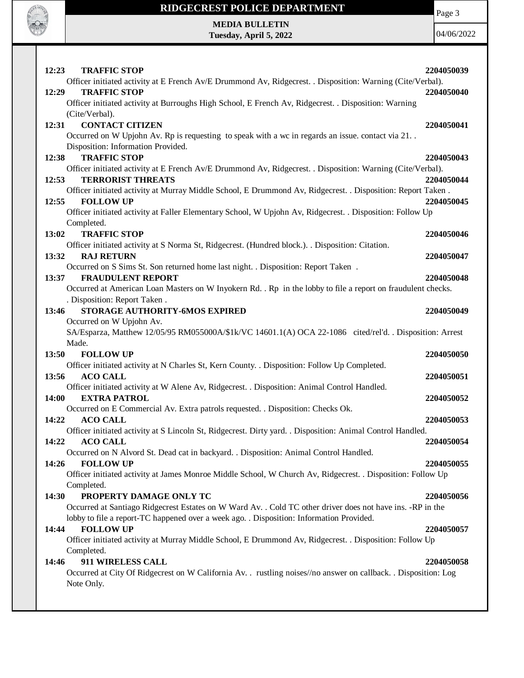

# **RIDGECREST POLICE DEPARTMENT MEDIA BULLETIN**

**Tuesday, April 5, 2022**

Page 3

| 12:23<br><b>TRAFFIC STOP</b>                                                                                    | 2204050039 |
|-----------------------------------------------------------------------------------------------------------------|------------|
| Officer initiated activity at E French Av/E Drummond Av, Ridgecrest. . Disposition: Warning (Cite/Verbal).      |            |
| <b>TRAFFIC STOP</b><br>12:29                                                                                    | 2204050040 |
| Officer initiated activity at Burroughs High School, E French Av, Ridgecrest. . Disposition: Warning            |            |
| (Cite/Verbal).                                                                                                  |            |
| <b>CONTACT CITIZEN</b><br>12:31                                                                                 | 2204050041 |
| Occurred on W Upjohn Av. Rp is requesting to speak with a wc in regards an issue. contact via 21                |            |
| Disposition: Information Provided.                                                                              |            |
| <b>TRAFFIC STOP</b><br>12:38                                                                                    | 2204050043 |
| Officer initiated activity at E French Av/E Drummond Av, Ridgecrest. . Disposition: Warning (Cite/Verbal).      |            |
| <b>TERRORIST THREATS</b><br>12:53                                                                               | 2204050044 |
| Officer initiated activity at Murray Middle School, E Drummond Av, Ridgecrest. . Disposition: Report Taken.     |            |
| <b>FOLLOW UP</b><br>12:55                                                                                       | 2204050045 |
| Officer initiated activity at Faller Elementary School, W Upjohn Av, Ridgecrest. . Disposition: Follow Up       |            |
| Completed.                                                                                                      |            |
| <b>TRAFFIC STOP</b><br>13:02                                                                                    | 2204050046 |
| Officer initiated activity at S Norma St, Ridgecrest. (Hundred block.). . Disposition: Citation.                |            |
| 13:32<br><b>RAJ RETURN</b>                                                                                      | 2204050047 |
| Occurred on S Sims St. Son returned home last night. . Disposition: Report Taken.                               |            |
| <b>FRAUDULENT REPORT</b><br>13:37                                                                               | 2204050048 |
| Occurred at American Loan Masters on W Inyokern Rd. . Rp in the lobby to file a report on fraudulent checks.    |            |
| . Disposition: Report Taken.                                                                                    |            |
| STORAGE AUTHORITY-6MOS EXPIRED<br>13:46                                                                         | 2204050049 |
| Occurred on W Upjohn Av.                                                                                        |            |
| SA/Esparza, Matthew 12/05/95 RM055000A/\$1k/VC 14601.1(A) OCA 22-1086 cited/rel'd. . Disposition: Arrest        |            |
| Made.                                                                                                           |            |
| 13:50<br><b>FOLLOW UP</b>                                                                                       | 2204050050 |
| Officer initiated activity at N Charles St, Kern County. . Disposition: Follow Up Completed.                    |            |
| 13:56<br><b>ACO CALL</b>                                                                                        | 2204050051 |
| Officer initiated activity at W Alene Av, Ridgecrest. . Disposition: Animal Control Handled.                    |            |
| 14:00<br><b>EXTRA PATROL</b>                                                                                    | 2204050052 |
| Occurred on E Commercial Av. Extra patrols requested. . Disposition: Checks Ok.                                 |            |
| <b>ACO CALL</b><br>14:22                                                                                        | 2204050053 |
| Officer initiated activity at S Lincoln St, Ridgecrest. Dirty yard. . Disposition: Animal Control Handled.      |            |
| 14:22<br><b>ACO CALL</b>                                                                                        | 2204050054 |
| Occurred on N Alvord St. Dead cat in backyard. . Disposition: Animal Control Handled.                           |            |
| <b>FOLLOW UP</b><br>14:26                                                                                       | 2204050055 |
| Officer initiated activity at James Monroe Middle School, W Church Av, Ridgecrest. . Disposition: Follow Up     |            |
| Completed.                                                                                                      |            |
| PROPERTY DAMAGE ONLY TC<br>14:30                                                                                | 2204050056 |
| Occurred at Santiago Ridgecrest Estates on W Ward Av. . Cold TC other driver does not have ins. - RP in the     |            |
| lobby to file a report-TC happened over a week ago. . Disposition: Information Provided.                        |            |
| <b>FOLLOW UP</b><br>14:44                                                                                       | 2204050057 |
| Officer initiated activity at Murray Middle School, E Drummond Av, Ridgecrest. . Disposition: Follow Up         |            |
| Completed.                                                                                                      |            |
| 911 WIRELESS CALL<br>14:46                                                                                      | 2204050058 |
| Occurred at City Of Ridgecrest on W California Av. . rustling noises//no answer on callback. . Disposition: Log |            |
| Note Only.                                                                                                      |            |
|                                                                                                                 |            |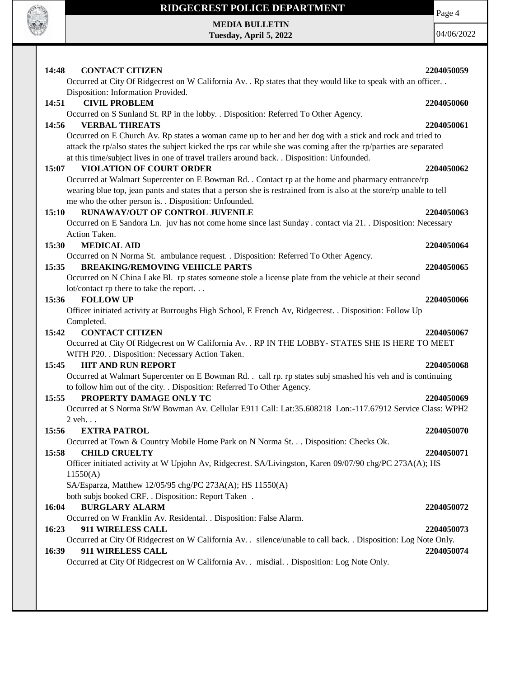

 $\mathbf{I}$ 

### **RIDGECREST POLICE DEPARTMENT**

**MEDIA BULLETIN Tuesday, April 5, 2022** Page 4

| 14:48<br><b>CONTACT CITIZEN</b>                                                                                                                                                                                                                                                                                             | 2204050059 |
|-----------------------------------------------------------------------------------------------------------------------------------------------------------------------------------------------------------------------------------------------------------------------------------------------------------------------------|------------|
| Occurred at City Of Ridgecrest on W California Av. . Rp states that they would like to speak with an officer. .<br>Disposition: Information Provided.                                                                                                                                                                       |            |
| <b>CIVIL PROBLEM</b><br>14:51<br>Occurred on S Sunland St. RP in the lobby. . Disposition: Referred To Other Agency.                                                                                                                                                                                                        | 2204050060 |
| 14:56<br><b>VERBAL THREATS</b>                                                                                                                                                                                                                                                                                              | 2204050061 |
| Occurred on E Church Av. Rp states a woman came up to her and her dog with a stick and rock and tried to<br>attack the rp/also states the subject kicked the rps car while she was coming after the rp/parties are separated<br>at this time/subject lives in one of travel trailers around back. . Disposition: Unfounded. |            |
| <b>VIOLATION OF COURT ORDER</b><br>15:07                                                                                                                                                                                                                                                                                    | 2204050062 |
| Occurred at Walmart Supercenter on E Bowman Rd. . Contact rp at the home and pharmacy entrance/rp<br>wearing blue top, jean pants and states that a person she is restrained from is also at the store/rp unable to tell<br>me who the other person is. . Disposition: Unfounded.                                           |            |
| RUNAWAY/OUT OF CONTROL JUVENILE<br>15:10                                                                                                                                                                                                                                                                                    | 2204050063 |
| Occurred on E Sandora Ln. juv has not come home since last Sunday . contact via 21. . Disposition: Necessary<br>Action Taken.                                                                                                                                                                                               |            |
| 15:30<br><b>MEDICAL AID</b>                                                                                                                                                                                                                                                                                                 | 2204050064 |
| Occurred on N Norma St. ambulance request. . Disposition: Referred To Other Agency.<br><b>BREAKING/REMOVING VEHICLE PARTS</b><br>15:35                                                                                                                                                                                      | 2204050065 |
| Occurred on N China Lake Bl. rp states someone stole a license plate from the vehicle at their second                                                                                                                                                                                                                       |            |
| lot/contact rp there to take the report                                                                                                                                                                                                                                                                                     |            |
| <b>FOLLOW UP</b><br>15:36                                                                                                                                                                                                                                                                                                   | 2204050066 |
| Officer initiated activity at Burroughs High School, E French Av, Ridgecrest. . Disposition: Follow Up<br>Completed.                                                                                                                                                                                                        |            |
| 15:42<br><b>CONTACT CITIZEN</b>                                                                                                                                                                                                                                                                                             | 2204050067 |
| Occurred at City Of Ridgecrest on W California Av. . RP IN THE LOBBY- STATES SHE IS HERE TO MEET<br>WITH P20. . Disposition: Necessary Action Taken.                                                                                                                                                                        |            |
| 15:45<br><b>HIT AND RUN REPORT</b>                                                                                                                                                                                                                                                                                          | 2204050068 |
| Occurred at Walmart Supercenter on E Bowman Rd. . call rp. rp states subj smashed his veh and is continuing<br>to follow him out of the city. . Disposition: Referred To Other Agency.                                                                                                                                      |            |
| 15:55<br>PROPERTY DAMAGE ONLY TC                                                                                                                                                                                                                                                                                            | 2204050069 |
| Occurred at S Norma St/W Bowman Av. Cellular E911 Call: Lat:35.608218 Lon:-117.67912 Service Class: WPH2                                                                                                                                                                                                                    |            |
| $2$ veh. $\ldots$                                                                                                                                                                                                                                                                                                           |            |
| <b>EXTRA PATROL</b><br>15:56                                                                                                                                                                                                                                                                                                | 2204050070 |
| Occurred at Town & Country Mobile Home Park on N Norma St. Disposition: Checks Ok.                                                                                                                                                                                                                                          |            |
| <b>CHILD CRUELTY</b><br>15:58<br>Officer initiated activity at W Upjohn Av, Ridgecrest. SA/Livingston, Karen 09/07/90 chg/PC 273A(A); HS<br>11550(A)                                                                                                                                                                        | 2204050071 |
| SA/Esparza, Matthew 12/05/95 chg/PC 273A(A); HS 11550(A)                                                                                                                                                                                                                                                                    |            |
| both subjs booked CRF. . Disposition: Report Taken .                                                                                                                                                                                                                                                                        |            |
| <b>BURGLARY ALARM</b><br>16:04                                                                                                                                                                                                                                                                                              | 2204050072 |
| Occurred on W Franklin Av. Residental. . Disposition: False Alarm.                                                                                                                                                                                                                                                          |            |
| 16:23<br>911 WIRELESS CALL                                                                                                                                                                                                                                                                                                  | 2204050073 |
| Occurred at City Of Ridgecrest on W California Av. . silence/unable to call back. . Disposition: Log Note Only.<br>911 WIRELESS CALL<br>16:39                                                                                                                                                                               | 2204050074 |
| Occurred at City Of Ridgecrest on W California Av. . misdial. . Disposition: Log Note Only.                                                                                                                                                                                                                                 |            |
|                                                                                                                                                                                                                                                                                                                             |            |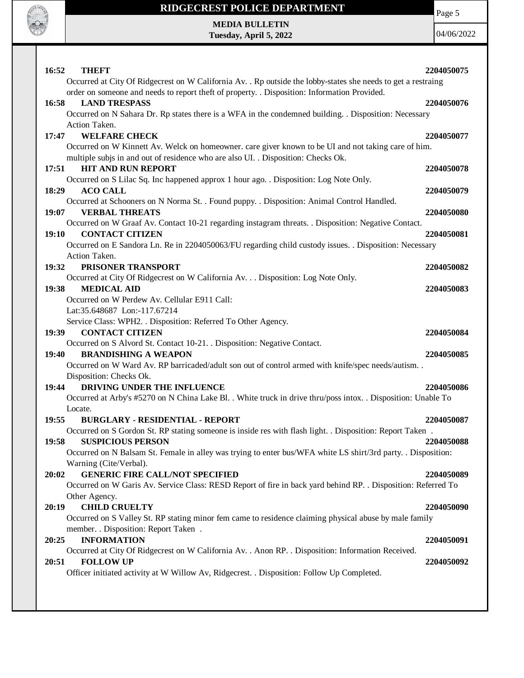

#### **RIDGECREST POLICE DEPARTMENT**

Page 5

**MEDIA BULLETIN Tuesday, April 5, 2022**

| 16:52<br><b>THEFT</b><br>Occurred at City Of Ridgecrest on W California Av. . Rp outside the lobby-states she needs to get a restraing                                                                                                 | 2204050075               |
|----------------------------------------------------------------------------------------------------------------------------------------------------------------------------------------------------------------------------------------|--------------------------|
| order on someone and needs to report theft of property. . Disposition: Information Provided.<br>16:58<br><b>LAND TRESPASS</b><br>Occurred on N Sahara Dr. Rp states there is a WFA in the condemned building. . Disposition: Necessary | 2204050076               |
| Action Taken.<br><b>WELFARE CHECK</b><br>17:47                                                                                                                                                                                         | 2204050077               |
| Occurred on W Kinnett Av. Welck on homeowner. care giver known to be UI and not taking care of him.<br>multiple subjs in and out of residence who are also UI. . Disposition: Checks Ok.<br><b>HIT AND RUN REPORT</b><br>17:51         | 2204050078               |
| Occurred on S Lilac Sq. Inc happened approx 1 hour ago. . Disposition: Log Note Only.<br>18:29<br><b>ACO CALL</b>                                                                                                                      | 2204050079               |
| Occurred at Schooners on N Norma St. . Found puppy. . Disposition: Animal Control Handled.<br>19:07<br><b>VERBAL THREATS</b><br>Occurred on W Graaf Av. Contact 10-21 regarding instagram threats. . Disposition: Negative Contact.    | 2204050080               |
| <b>CONTACT CITIZEN</b><br>19:10<br>Occurred on E Sandora Ln. Re in 2204050063/FU regarding child custody issues. . Disposition: Necessary                                                                                              | 2204050081               |
| Action Taken.<br>PRISONER TRANSPORT<br>19:32                                                                                                                                                                                           | 2204050082               |
| Occurred at City Of Ridgecrest on W California Av. Disposition: Log Note Only.<br><b>MEDICAL AID</b><br>19:38<br>Occurred on W Perdew Av. Cellular E911 Call:                                                                          | 2204050083               |
| Lat:35.648687 Lon:-117.67214<br>Service Class: WPH2. . Disposition: Referred To Other Agency.                                                                                                                                          |                          |
| <b>CONTACT CITIZEN</b><br>19:39<br>Occurred on S Alvord St. Contact 10-21. . Disposition: Negative Contact.<br><b>BRANDISHING A WEAPON</b><br>19:40                                                                                    | 2204050084<br>2204050085 |
| Occurred on W Ward Av. RP barricaded/adult son out of control armed with knife/spec needs/autism. .<br>Disposition: Checks Ok.                                                                                                         |                          |
| 19:44<br>DRIVING UNDER THE INFLUENCE<br>Occurred at Arby's #5270 on N China Lake Bl. . White truck in drive thru/poss intox. . Disposition: Unable To<br>Locate.                                                                       | 2204050086               |
| 19:55<br><b>BURGLARY - RESIDENTIAL - REPORT</b><br>Occurred on S Gordon St. RP stating someone is inside res with flash light. . Disposition: Report Taken.                                                                            | 2204050087               |
| 19:58<br><b>SUSPICIOUS PERSON</b><br>Occurred on N Balsam St. Female in alley was trying to enter bus/WFA white LS shirt/3rd party. . Disposition:<br>Warning (Cite/Verbal).                                                           | 2204050088               |
| <b>GENERIC FIRE CALL/NOT SPECIFIED</b><br>20:02<br>Occurred on W Garis Av. Service Class: RESD Report of fire in back yard behind RP. . Disposition: Referred To                                                                       | 2204050089               |
| Other Agency.<br><b>CHILD CRUELTY</b><br>20:19<br>Occurred on S Valley St. RP stating minor fem came to residence claiming physical abuse by male family                                                                               | 2204050090               |
| member. . Disposition: Report Taken .<br><b>INFORMATION</b><br>20:25                                                                                                                                                                   | 2204050091               |
| Occurred at City Of Ridgecrest on W California Av. . Anon RP. . Disposition: Information Received.<br><b>FOLLOW UP</b><br>20:51<br>Officer initiated activity at W Willow Av, Ridgecrest. . Disposition: Follow Up Completed.          | 2204050092               |
|                                                                                                                                                                                                                                        |                          |